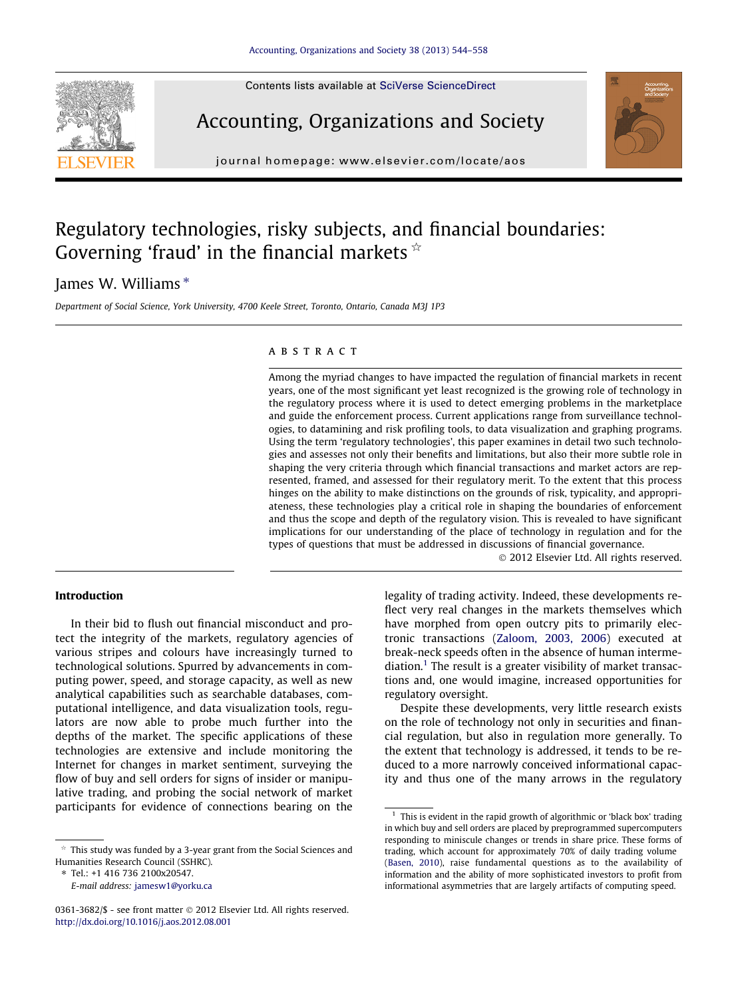

Accounting, Organizations and Society



journal homepage: [www.elsevier.com/locate/aos](http://www.elsevier.com/locate/aos)

## Regulatory technologies, risky subjects, and financial boundaries: Governing 'fraud' in the financial markets  $\dot{\mathbf{x}}$

### James W. Williams\*

Department of Social Science, York University, 4700 Keele Street, Toronto, Ontario, Canada M3J 1P3

#### **ABSTRACT**

Among the myriad changes to have impacted the regulation of financial markets in recent years, one of the most significant yet least recognized is the growing role of technology in the regulatory process where it is used to detect emerging problems in the marketplace and guide the enforcement process. Current applications range from surveillance technologies, to datamining and risk profiling tools, to data visualization and graphing programs. Using the term 'regulatory technologies', this paper examines in detail two such technologies and assesses not only their benefits and limitations, but also their more subtle role in shaping the very criteria through which financial transactions and market actors are represented, framed, and assessed for their regulatory merit. To the extent that this process hinges on the ability to make distinctions on the grounds of risk, typicality, and appropriateness, these technologies play a critical role in shaping the boundaries of enforcement and thus the scope and depth of the regulatory vision. This is revealed to have significant implications for our understanding of the place of technology in regulation and for the types of questions that must be addressed in discussions of financial governance.

- 2012 Elsevier Ltd. All rights reserved.

#### Introduction

In their bid to flush out financial misconduct and protect the integrity of the markets, regulatory agencies of various stripes and colours have increasingly turned to technological solutions. Spurred by advancements in computing power, speed, and storage capacity, as well as new analytical capabilities such as searchable databases, computational intelligence, and data visualization tools, regulators are now able to probe much further into the depths of the market. The specific applications of these technologies are extensive and include monitoring the Internet for changes in market sentiment, surveying the flow of buy and sell orders for signs of insider or manipulative trading, and probing the social network of market participants for evidence of connections bearing on the legality of trading activity. Indeed, these developments reflect very real changes in the markets themselves which have morphed from open outcry pits to primarily electronic transactions ([Zaloom, 2003, 2006](#page--1-0)) executed at break-neck speeds often in the absence of human intermediation.<sup>1</sup> The result is a greater visibility of market transactions and, one would imagine, increased opportunities for regulatory oversight.

Despite these developments, very little research exists on the role of technology not only in securities and financial regulation, but also in regulation more generally. To the extent that technology is addressed, it tends to be reduced to a more narrowly conceived informational capacity and thus one of the many arrows in the regulatory

 $*$  This study was funded by a 3-year grant from the Social Sciences and Humanities Research Council (SSHRC).

<sup>⇑</sup> Tel.: +1 416 736 2100x20547.

E-mail address: [jamesw1@yorku.ca](mailto:jamesw1@yorku.ca)

<sup>0361-3682/\$ -</sup> see front matter © 2012 Elsevier Ltd. All rights reserved. <http://dx.doi.org/10.1016/j.aos.2012.08.001>

 $1$  This is evident in the rapid growth of algorithmic or 'black box' trading in which buy and sell orders are placed by preprogrammed supercomputers responding to miniscule changes or trends in share price. These forms of trading, which account for approximately 70% of daily trading volume ([Basen, 2010\)](#page--1-0), raise fundamental questions as to the availability of information and the ability of more sophisticated investors to profit from informational asymmetries that are largely artifacts of computing speed.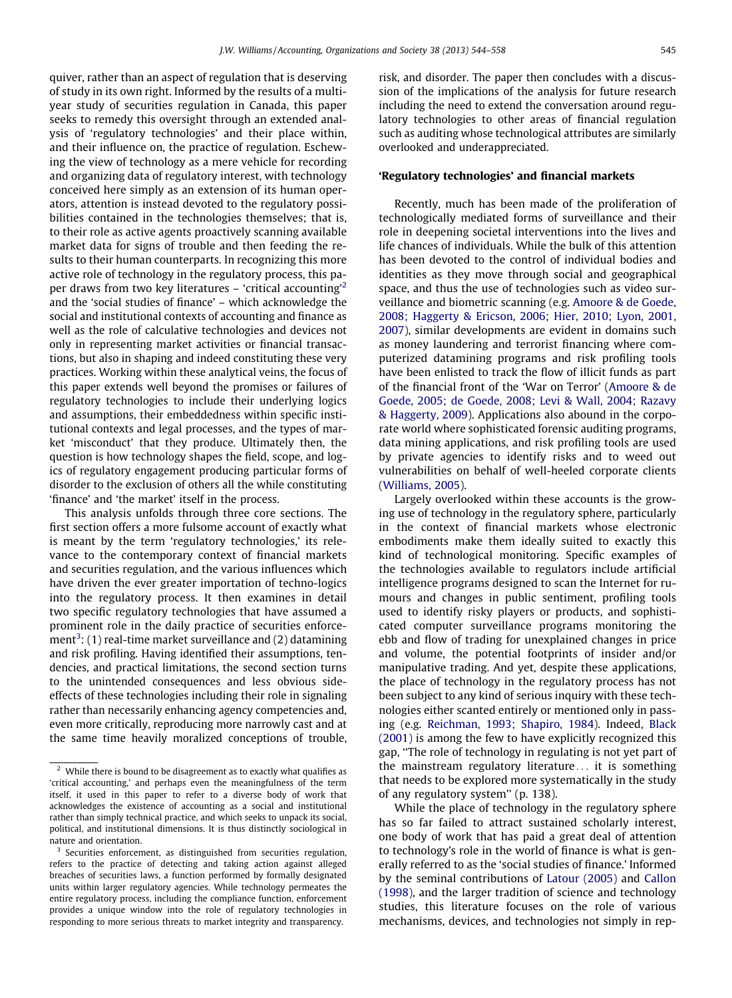quiver, rather than an aspect of regulation that is deserving of study in its own right. Informed by the results of a multiyear study of securities regulation in Canada, this paper seeks to remedy this oversight through an extended analysis of 'regulatory technologies' and their place within, and their influence on, the practice of regulation. Eschewing the view of technology as a mere vehicle for recording and organizing data of regulatory interest, with technology conceived here simply as an extension of its human operators, attention is instead devoted to the regulatory possibilities contained in the technologies themselves; that is, to their role as active agents proactively scanning available market data for signs of trouble and then feeding the results to their human counterparts. In recognizing this more active role of technology in the regulatory process, this paper draws from two key literatures – 'critical accounting'2 and the 'social studies of finance' – which acknowledge the social and institutional contexts of accounting and finance as well as the role of calculative technologies and devices not only in representing market activities or financial transactions, but also in shaping and indeed constituting these very practices. Working within these analytical veins, the focus of this paper extends well beyond the promises or failures of regulatory technologies to include their underlying logics and assumptions, their embeddedness within specific institutional contexts and legal processes, and the types of market 'misconduct' that they produce. Ultimately then, the question is how technology shapes the field, scope, and logics of regulatory engagement producing particular forms of disorder to the exclusion of others all the while constituting 'finance' and 'the market' itself in the process.

This analysis unfolds through three core sections. The first section offers a more fulsome account of exactly what is meant by the term 'regulatory technologies,' its relevance to the contemporary context of financial markets and securities regulation, and the various influences which have driven the ever greater importation of techno-logics into the regulatory process. It then examines in detail two specific regulatory technologies that have assumed a prominent role in the daily practice of securities enforcement<sup>3</sup>: (1) real-time market surveillance and (2) datamining and risk profiling. Having identified their assumptions, tendencies, and practical limitations, the second section turns to the unintended consequences and less obvious sideeffects of these technologies including their role in signaling rather than necessarily enhancing agency competencies and, even more critically, reproducing more narrowly cast and at the same time heavily moralized conceptions of trouble, risk, and disorder. The paper then concludes with a discussion of the implications of the analysis for future research including the need to extend the conversation around regulatory technologies to other areas of financial regulation such as auditing whose technological attributes are similarly overlooked and underappreciated.

#### 'Regulatory technologies' and financial markets

Recently, much has been made of the proliferation of technologically mediated forms of surveillance and their role in deepening societal interventions into the lives and life chances of individuals. While the bulk of this attention has been devoted to the control of individual bodies and identities as they move through social and geographical space, and thus the use of technologies such as video surveillance and biometric scanning (e.g. [Amoore & de Goede,](#page--1-0) [2008; Haggerty & Ericson, 2006; Hier, 2010; Lyon, 2001,](#page--1-0) [2007\)](#page--1-0), similar developments are evident in domains such as money laundering and terrorist financing where computerized datamining programs and risk profiling tools have been enlisted to track the flow of illicit funds as part of the financial front of the 'War on Terror' [\(Amoore & de](#page--1-0) [Goede, 2005; de Goede, 2008; Levi & Wall, 2004; Razavy](#page--1-0) [& Haggerty, 2009\)](#page--1-0). Applications also abound in the corporate world where sophisticated forensic auditing programs, data mining applications, and risk profiling tools are used by private agencies to identify risks and to weed out vulnerabilities on behalf of well-heeled corporate clients [\(Williams, 2005](#page--1-0)).

Largely overlooked within these accounts is the growing use of technology in the regulatory sphere, particularly in the context of financial markets whose electronic embodiments make them ideally suited to exactly this kind of technological monitoring. Specific examples of the technologies available to regulators include artificial intelligence programs designed to scan the Internet for rumours and changes in public sentiment, profiling tools used to identify risky players or products, and sophisticated computer surveillance programs monitoring the ebb and flow of trading for unexplained changes in price and volume, the potential footprints of insider and/or manipulative trading. And yet, despite these applications, the place of technology in the regulatory process has not been subject to any kind of serious inquiry with these technologies either scanted entirely or mentioned only in passing (e.g. [Reichman, 1993; Shapiro, 1984\)](#page--1-0). Indeed, [Black](#page--1-0) [\(2001\)](#page--1-0) is among the few to have explicitly recognized this gap, ''The role of technology in regulating is not yet part of the mainstream regulatory literature... it is something that needs to be explored more systematically in the study of any regulatory system'' (p. 138).

While the place of technology in the regulatory sphere has so far failed to attract sustained scholarly interest, one body of work that has paid a great deal of attention to technology's role in the world of finance is what is generally referred to as the 'social studies of finance.' Informed by the seminal contributions of [Latour \(2005\)](#page--1-0) and [Callon](#page--1-0) [\(1998\)](#page--1-0), and the larger tradition of science and technology studies, this literature focuses on the role of various mechanisms, devices, and technologies not simply in rep-

 $2$  While there is bound to be disagreement as to exactly what qualifies as 'critical accounting,' and perhaps even the meaningfulness of the term itself, it used in this paper to refer to a diverse body of work that acknowledges the existence of accounting as a social and institutional rather than simply technical practice, and which seeks to unpack its social, political, and institutional dimensions. It is thus distinctly sociological in nature and orientation.

<sup>&</sup>lt;sup>3</sup> Securities enforcement, as distinguished from securities regulation, refers to the practice of detecting and taking action against alleged breaches of securities laws, a function performed by formally designated units within larger regulatory agencies. While technology permeates the entire regulatory process, including the compliance function, enforcement provides a unique window into the role of regulatory technologies in responding to more serious threats to market integrity and transparency.